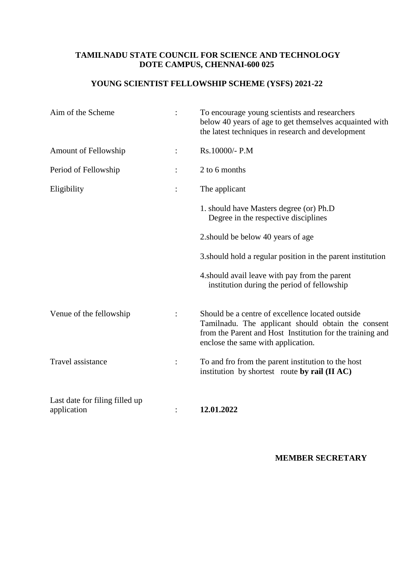## **TAMILNADU STATE COUNCIL FOR SCIENCE AND TECHNOLOGY DOTE CAMPUS, CHENNAI-600 025**

# **YOUNG SCIENTIST FELLOWSHIP SCHEME (YSFS) 2021-22**

| Aim of the Scheme                             | To encourage young scientists and researchers<br>below 40 years of age to get themselves acquainted with<br>the latest techniques in research and development                                             |
|-----------------------------------------------|-----------------------------------------------------------------------------------------------------------------------------------------------------------------------------------------------------------|
| Amount of Fellowship                          | Rs.10000/- P.M                                                                                                                                                                                            |
| Period of Fellowship                          | 2 to 6 months                                                                                                                                                                                             |
| Eligibility                                   | The applicant                                                                                                                                                                                             |
|                                               | 1. should have Masters degree (or) Ph.D<br>Degree in the respective disciplines                                                                                                                           |
|                                               | 2. should be below 40 years of age                                                                                                                                                                        |
|                                               | 3. should hold a regular position in the parent institution                                                                                                                                               |
|                                               | 4. should avail leave with pay from the parent<br>institution during the period of fellowship                                                                                                             |
| Venue of the fellowship                       | Should be a centre of excellence located outside<br>Tamilnadu. The applicant should obtain the consent<br>from the Parent and Host Institution for the training and<br>enclose the same with application. |
| Travel assistance                             | To and fro from the parent institution to the host<br>institution by shortest route by rail (II AC)                                                                                                       |
| Last date for filing filled up<br>application | 12.01.2022                                                                                                                                                                                                |

### **MEMBER SECRETARY**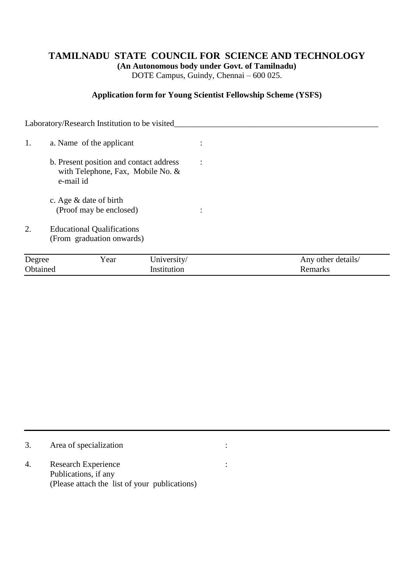## **TAMILNADU STATE COUNCIL FOR SCIENCE AND TECHNOLOGY**

**(An Autonomous body under Govt. of Tamilnadu)**

DOTE Campus, Guindy, Chennai – 600 025.

#### **Application form for Young Scientist Fellowship Scheme (YSFS)**

Laboratory/Research Institution to be visited\_\_\_\_\_\_\_\_\_\_\_\_\_\_\_\_\_\_\_\_\_\_\_\_\_\_\_\_\_\_\_\_\_\_\_ 1. a. Name of the applicant : b. Present position and contact address : with Telephone, Fax, Mobile No. & e-mail id c. Age & date of birth (Proof may be enclosed) : 2. Educational Qualifications (From graduation onwards)

| Degree   | Y ear | Jniversity/ | Any other details/ |
|----------|-------|-------------|--------------------|
| Obtained |       | Institution | Kemarks            |

|    | Area of specialization                        |  |
|----|-----------------------------------------------|--|
| 4. | Research Experience<br>Publications, if any   |  |
|    | (Please attach the list of your publications) |  |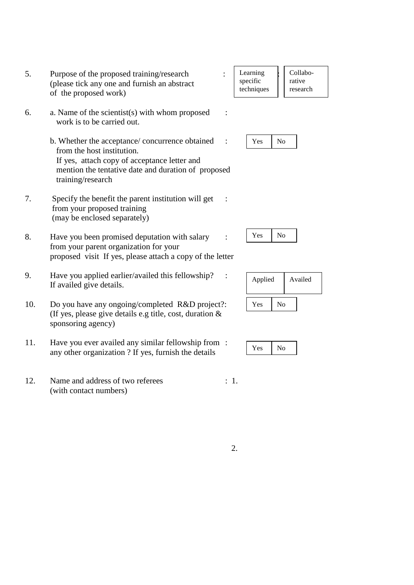- 5. Purpose of the proposed training/research : : (please tick any one and furnish an abstract of the proposed work)
- 6. a. Name of the scientist(s) with whom proposed : work is to be carried out.
	- b. Whether the acceptance/ concurrence obtained : from the host institution. If yes, attach copy of acceptance letter and mention the tentative date and duration of proposed training/research
- 7. Specify the benefit the parent institution will get : from your proposed training (may be enclosed separately)
- 8. Have you been promised deputation with salary : from your parent organization for your proposed visit If yes, please attach a copy of the letter
- 9. Have you applied earlier/availed this fellowship? : If availed give details.
- 10. Do you have any ongoing/completed R&D project?: (If yes, please give details e.g title, cost, duration & sponsoring agency)
- 11. Have you ever availed any similar fellowship from : any other organization ? If yes, furnish the details
- 12. Name and address of two referees : 1. (with contact numbers)
- Learning specific techniques Collaborative research
	- Yes | No

Yes | No

| Applied |    | Availed |
|---------|----|---------|
| Yes     | No |         |

|  | $\sim$<br>e. |  |
|--|--------------|--|
|--|--------------|--|

2.